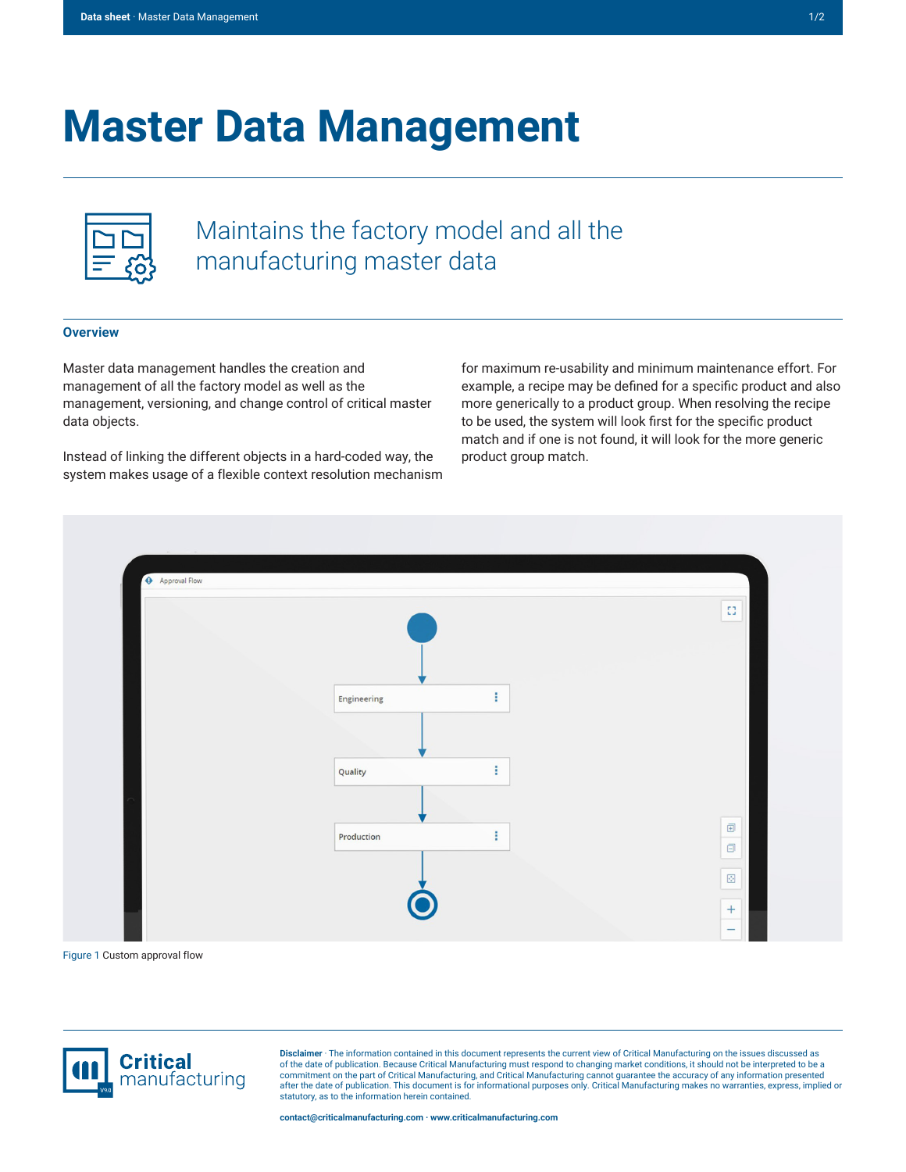# **Master Data Management**

Maintains the factory model and all the manufacturing master data

## **Overview**

Master data management handles the creation and management of all the factory model as well as the management, versioning, and change control of critical master data objects.

Instead of linking the different objects in a hard-coded way, the system makes usage of a flexible context resolution mechanism

for maximum re-usability and minimum maintenance effort. For example, a recipe may be defined for a specific product and also more generically to a product group. When resolving the recipe to be used, the system will look first for the specific product match and if one is not found, it will look for the more generic product group match.



Figure 1 Custom approval flow



**Disclaimer** · The information contained in this document represents the current view of Critical Manufacturing on the issues discussed as of the date of publication. Because Critical Manufacturing must respond to changing market conditions, it should not be interpreted to be a<br>commitment on the part of Critical Manufacturing, and Critical Manufacturing canno after the date of publication. This document is for informational purposes only. Critical Manufacturing makes no warranties, express, implied or statutory, as to the information herein contained.